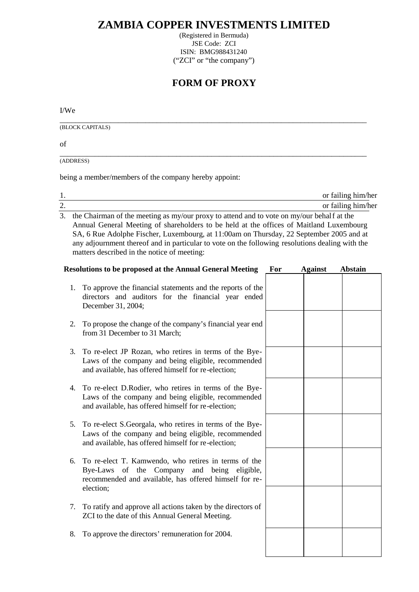## **ZAMBIA COPPER INVESTMENTS LIMITED**

(Registered in Bermuda) JSE Code: ZCI ISIN: BMG988431240 ("ZCI" or "the company")

## **FORM OF PROXY**

I/We

\_\_\_\_\_\_\_\_\_\_\_\_\_\_\_\_\_\_\_\_\_\_\_\_\_\_\_\_\_\_\_\_\_\_\_\_\_\_\_\_\_\_\_\_\_\_\_\_\_\_\_\_\_\_\_\_\_\_\_\_\_\_\_\_\_\_\_\_\_\_\_\_\_\_\_\_\_\_\_ (BLOCK CAPITALS)

of

\_\_\_\_\_\_\_\_\_\_\_\_\_\_\_\_\_\_\_\_\_\_\_\_\_\_\_\_\_\_\_\_\_\_\_\_\_\_\_\_\_\_\_\_\_\_\_\_\_\_\_\_\_\_\_\_\_\_\_\_\_\_\_\_\_\_\_\_\_\_\_\_\_\_\_\_\_\_\_ (ADDRESS)

being a member/members of the company hereby appoint:

|    | or failing him/her                                                                           |  |  |
|----|----------------------------------------------------------------------------------------------|--|--|
| 2. | or failing him/her                                                                           |  |  |
|    | 3. the Chairman of the meeting as my/our proxy to attend and to vote on my/our behalf at the |  |  |
|    | Annual General Meeting of shareholders to be held at the offices of Maitland Luxembourg      |  |  |

Annual General Meeting of shareholders to be held at the offices of Maitland Luxembourg SA, 6 Rue Adolphe Fischer, Luxembourg, at 11:00am on Thursday, 22 September 2005 and at any adjournment thereof and in particular to vote on the following resolutions dealing with the matters described in the notice of meeting:

|    | <b>Resolutions to be proposed at the Annual General Meeting</b>                                                                                                                  | For | <b>Against</b> | <b>Abstain</b> |
|----|----------------------------------------------------------------------------------------------------------------------------------------------------------------------------------|-----|----------------|----------------|
| 1. | To approve the financial statements and the reports of the<br>directors and auditors for the financial year ended<br>December 31, 2004;                                          |     |                |                |
| 2. | To propose the change of the company's financial year end<br>from 31 December to 31 March;                                                                                       |     |                |                |
| 3. | To re-elect JP Rozan, who retires in terms of the Bye-<br>Laws of the company and being eligible, recommended<br>and available, has offered himself for re-election;             |     |                |                |
| 4. | To re-elect D.Rodier, who retires in terms of the Bye-<br>Laws of the company and being eligible, recommended<br>and available, has offered himself for re-election;             |     |                |                |
| 5. | To re-elect S.Georgala, who retires in terms of the Bye-<br>Laws of the company and being eligible, recommended<br>and available, has offered himself for re-election;           |     |                |                |
| 6. | To re-elect T. Kamwendo, who retires in terms of the<br>Bye-Laws of the Company<br>and being<br>eligible,<br>recommended and available, has offered himself for re-<br>election; |     |                |                |
| 7. | To ratify and approve all actions taken by the directors of<br>ZCI to the date of this Annual General Meeting.                                                                   |     |                |                |
| 8. | To approve the directors' remuneration for 2004.                                                                                                                                 |     |                |                |